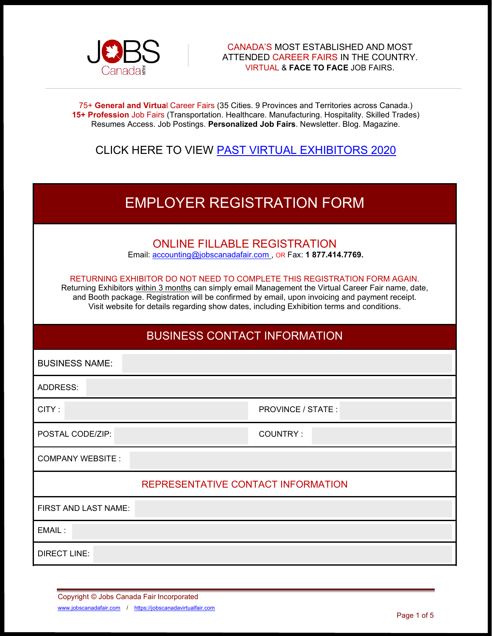

75+ **General and Virtua**l Career Fairs (35 Cities. 9 Provinces and Territories across Canada.) **15+ Profession** Job Fairs (Transportation. Healthcare. Manufacturing. Hospitality. Skilled Trades) Resumes Access. Job Postings. **Personalized Job Fairs**. Newsletter. Blog. Magazine.

## CLICK HERE TO VIEW [PAST VIRTUAL EXHIBITORS 2020](https://www.jobscanadafair.com/past-virtual-exhibitors-2020-editions/)

| <b>EMPLOYER REGISTRATION FORM</b>                                                                                                                                                                                                                                                                                                                                                                                                                                                          |                   |  |  |  |
|--------------------------------------------------------------------------------------------------------------------------------------------------------------------------------------------------------------------------------------------------------------------------------------------------------------------------------------------------------------------------------------------------------------------------------------------------------------------------------------------|-------------------|--|--|--|
| <b>ONLINE FILLABLE REGISTRATION</b><br>Email: accounting@jobscanadafair.com, OR Fax: 1 877.414.7769.<br>RETURNING EXHIBITOR DO NOT NEED TO COMPLETE THIS REGISTRATION FORM AGAIN.<br>Returning Exhibitors within 3 months can simply email Management the Virtual Career Fair name, date,<br>and Booth package. Registration will be confirmed by email, upon invoicing and payment receipt.<br>Visit website for details regarding show dates, including Exhibition terms and conditions. |                   |  |  |  |
| <b>BUSINESS CONTACT INFORMATION</b>                                                                                                                                                                                                                                                                                                                                                                                                                                                        |                   |  |  |  |
| <b>BUSINESS NAME:</b>                                                                                                                                                                                                                                                                                                                                                                                                                                                                      |                   |  |  |  |
| <b>ADDRESS:</b>                                                                                                                                                                                                                                                                                                                                                                                                                                                                            |                   |  |  |  |
| CITY:                                                                                                                                                                                                                                                                                                                                                                                                                                                                                      | PROVINCE / STATE: |  |  |  |
| POSTAL CODE/ZIP:                                                                                                                                                                                                                                                                                                                                                                                                                                                                           | <b>COUNTRY:</b>   |  |  |  |
| <b>COMPANY WEBSITE:</b>                                                                                                                                                                                                                                                                                                                                                                                                                                                                    |                   |  |  |  |
| REPRESENTATIVE CONTACT INFORMATION                                                                                                                                                                                                                                                                                                                                                                                                                                                         |                   |  |  |  |
| FIRST AND LAST NAME:                                                                                                                                                                                                                                                                                                                                                                                                                                                                       |                   |  |  |  |
| EMAIL:                                                                                                                                                                                                                                                                                                                                                                                                                                                                                     |                   |  |  |  |
| <b>DIRECT LINE:</b>                                                                                                                                                                                                                                                                                                                                                                                                                                                                        |                   |  |  |  |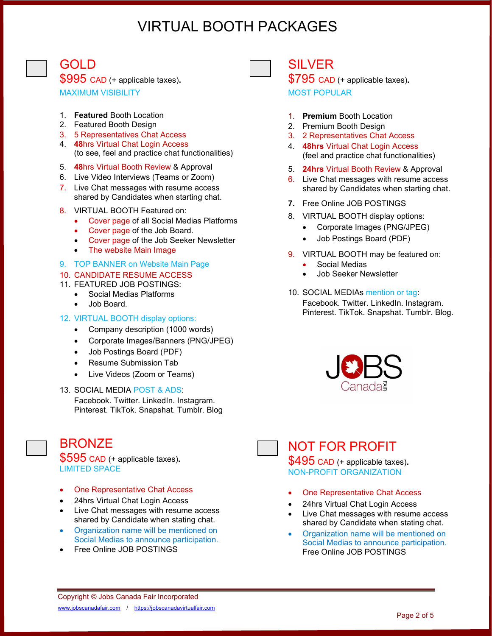# VIRTUAL BOOTH PACKAGES

GOLD

\$995 CAD (+ applicable taxes)**.** MAXIMUM VISIBILITY

- 1. **Featured** Booth Location
- 2. Featured Booth Design
- 3. 5 Representatives Chat Access
- 4. **48**hrs Virtual Chat Login Access (to see, feel and practice chat functionalities)
- 5. **48**hrs Virtual Booth Review & Approval
- 6. Live Video Interviews (Teams or Zoom)
- 7. Live Chat messages with resume access shared by Candidates when starting chat.
- 8. VIRTUAL BOOTH Featured on:
	- Cover page of all Social Medias Platforms
	- Cover page of the Job Board.
	- Cover page of the Job Seeker Newsletter
	- The website Main Image
- 9. TOP BANNER on Website Main Page
- 10. CANDIDATE RESUME ACCESS
- 11. FEATURED JOB POSTINGS:
	- Social Medias Platforms
	- Job Board.

#### 12. VIRTUAL BOOTH display options:

- Company description (1000 words)
- Corporate Images/Banners (PNG/JPEG)
- Job Postings Board (PDF)
- Resume Submission Tab
- Live Videos (Zoom or Teams)
- 13. SOCIAL MEDIA POST & ADS:

Facebook. Twitter. LinkedIn. Instagram. Pinterest. TikTok. Snapshat. Tumblr. Blog

## **BRONZE**

\$595 CAD (+ applicable taxes)**.**  LIMITED SPACE

- One Representative Chat Access
- 24hrs Virtual Chat Login Access
- Live Chat messages with resume access shared by Candidate when stating chat.
- Organization name will be mentioned on Social Medias to announce participation.
- Free Online JOB POSTINGS



## SILVER

\$795 CAD (+ applicable taxes)**.** MOST POPULAR

- 1. **Premium** Booth Location
- 2. Premium Booth Design
- 3. 2 Representatives Chat Access
- 4. **48hrs** Virtual Chat Login Access (feel and practice chat functionalities)
- 5. **24hrs** Virtual Booth Review & Approval
- 6. Live Chat messages with resume access shared by Candidates when starting chat.
- **7.** Free Online JOB POSTINGS
- 8. VIRTUAL BOOTH display options:
	- Corporate Images (PNG/JPEG)
	- Job Postings Board (PDF)
- 9. VIRTUAL BOOTH may be featured on:
	- Social Medias
	- Job Seeker Newsletter
- 10. SOCIAL MEDIAs mention or tag: Facebook. Twitter. LinkedIn. Instagram. Pinterest. TikTok. Snapshat. Tumblr. Blog.





# NOT FOR PROFIT

\$495 CAD (+ applicable taxes)**.**  NON-PROFIT ORGANIZATION

- One Representative Chat Access
- 24hrs Virtual Chat Login Access
- Live Chat messages with resume access shared by Candidate when stating chat.
- Organization name will be mentioned on Social Medias to announce participation. Free Online JOB POSTINGS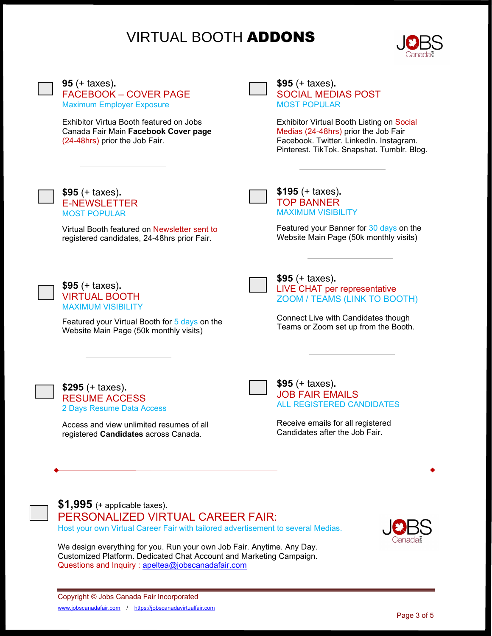# VIRTUAL BOOTH ADDONS



**95** (+ taxes)**.** FACEBOOK – COVER PAGE Maximum Employer Exposure

Exhibitor Virtua Booth featured on Jobs Canada Fair Main **Facebook Cover page** (24-48hrs) prior the Job Fair.

JOBS CANADA CANADA CANADA CANADA CANADA CANADA CANADA CANADA CANADA CANADA CANADA CANADA CANADA CANADA CANADA CANADA CANADA CANADA CANADA CANADA CANADA CANADA CANADA CANADA CANADA CANADA CANADA CANADA CANADA CANADA CANADA CANAD

**\$95** (+ taxes)**.** SOCIAL MEDIAS POST MOST POPULAR

Exhibitor Virtual Booth Listing on Social Medias (24-48hrs) prior the Job Fair Facebook. Twitter. LinkedIn. Instagram. Pinterest. TikTok. Snapshat. Tumblr. Blog.



**\$95** (+ taxes)**.** E-NEWSLETTER MOST POPULAR

Virtual Booth featured on Newsletter sent to registered candidates, 24-48hrs prior Fair.

**\$195** (+ taxes)**.** TOP BANNER MAXIMUM VISIBILITY

Featured your Banner for 30 days on the Website Main Page (50k monthly visits)



**\$95** (+ taxes)**.** VIRTUAL BOOTH MAXIMUM VISIBILITY

Featured your Virtual Booth for 5 days on the Website Main Page (50k monthly visits)

**\$95** (+ taxes)**.** LIVE CHAT per representative ZOOM / TEAMS (LINK TO BOOTH)

Connect Live with Candidates though Teams or Zoom set up from the Booth.

**\$295** (+ taxes)**.** RESUME ACCESS 2 Days Resume Data Access

Access and view unlimited resumes of all registered **Candidates** across Canada.



**\$95** (+ taxes)**.** JOB FAIR EMAILS ALL REGISTERED CANDIDATES

Receive emails for all registered Candidates after the Job Fair.



**\$1,995** (+ applicable taxes)**.** PERSONALIZED VIRTUAL CAREER FAIR: Host your own Virtual Career Fair with tailored advertisement to several Medias.



We design everything for you. Run your own Job Fair. Anytime. Any Day. Customized Platform. Dedicated Chat Account and Marketing Campaign. Questions and Inquiry : [apeltea@jobscanadafair.com](mailto:apeltea@jobscanadafair.com)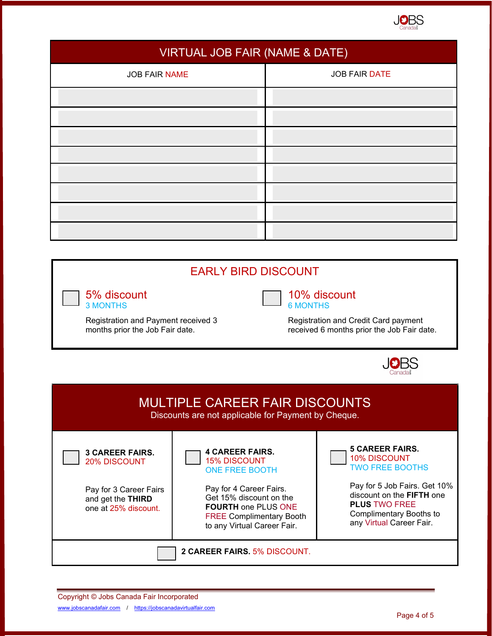

| VIRTUAL JOB FAIR (NAME & DATE) |                      |  |  |
|--------------------------------|----------------------|--|--|
| <b>JOB FAIR NAME</b>           | <b>JOB FAIR DATE</b> |  |  |
|                                |                      |  |  |
|                                |                      |  |  |
|                                |                      |  |  |
|                                |                      |  |  |
|                                |                      |  |  |
|                                |                      |  |  |
|                                |                      |  |  |
|                                |                      |  |  |

## EARLY BIRD DISCOUNT

5% discount 3 MONTHS

Registration and Payment received 3 months prior the Job Fair date.

## 10% discount 6 MONTHS

Registration and Credit Card payment received 6 months prior the Job Fair date.